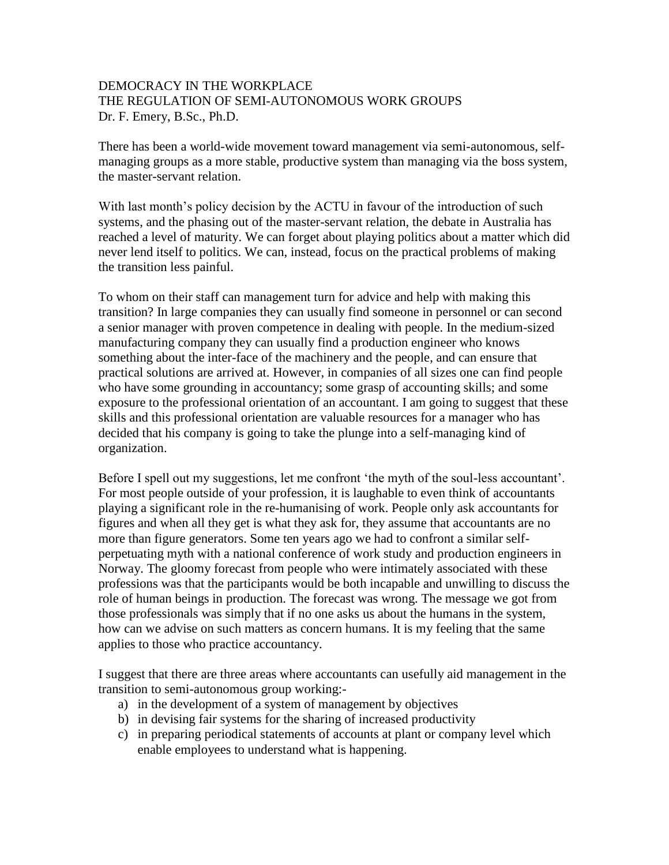## DEMOCRACY IN THE WORKPLACE THE REGULATION OF SEMI-AUTONOMOUS WORK GROUPS Dr. F. Emery, B.Sc., Ph.D.

There has been a world-wide movement toward management via semi-autonomous, selfmanaging groups as a more stable, productive system than managing via the boss system, the master-servant relation.

With last month's policy decision by the ACTU in favour of the introduction of such systems, and the phasing out of the master-servant relation, the debate in Australia has reached a level of maturity. We can forget about playing politics about a matter which did never lend itself to politics. We can, instead, focus on the practical problems of making the transition less painful.

To whom on their staff can management turn for advice and help with making this transition? In large companies they can usually find someone in personnel or can second a senior manager with proven competence in dealing with people. In the medium-sized manufacturing company they can usually find a production engineer who knows something about the inter-face of the machinery and the people, and can ensure that practical solutions are arrived at. However, in companies of all sizes one can find people who have some grounding in accountancy; some grasp of accounting skills; and some exposure to the professional orientation of an accountant. I am going to suggest that these skills and this professional orientation are valuable resources for a manager who has decided that his company is going to take the plunge into a self-managing kind of organization.

Before I spell out my suggestions, let me confront 'the myth of the soul-less accountant'. For most people outside of your profession, it is laughable to even think of accountants playing a significant role in the re-humanising of work. People only ask accountants for figures and when all they get is what they ask for, they assume that accountants are no more than figure generators. Some ten years ago we had to confront a similar selfperpetuating myth with a national conference of work study and production engineers in Norway. The gloomy forecast from people who were intimately associated with these professions was that the participants would be both incapable and unwilling to discuss the role of human beings in production. The forecast was wrong. The message we got from those professionals was simply that if no one asks us about the humans in the system, how can we advise on such matters as concern humans. It is my feeling that the same applies to those who practice accountancy.

I suggest that there are three areas where accountants can usefully aid management in the transition to semi-autonomous group working:-

- a) in the development of a system of management by objectives
- b) in devising fair systems for the sharing of increased productivity
- c) in preparing periodical statements of accounts at plant or company level which enable employees to understand what is happening.